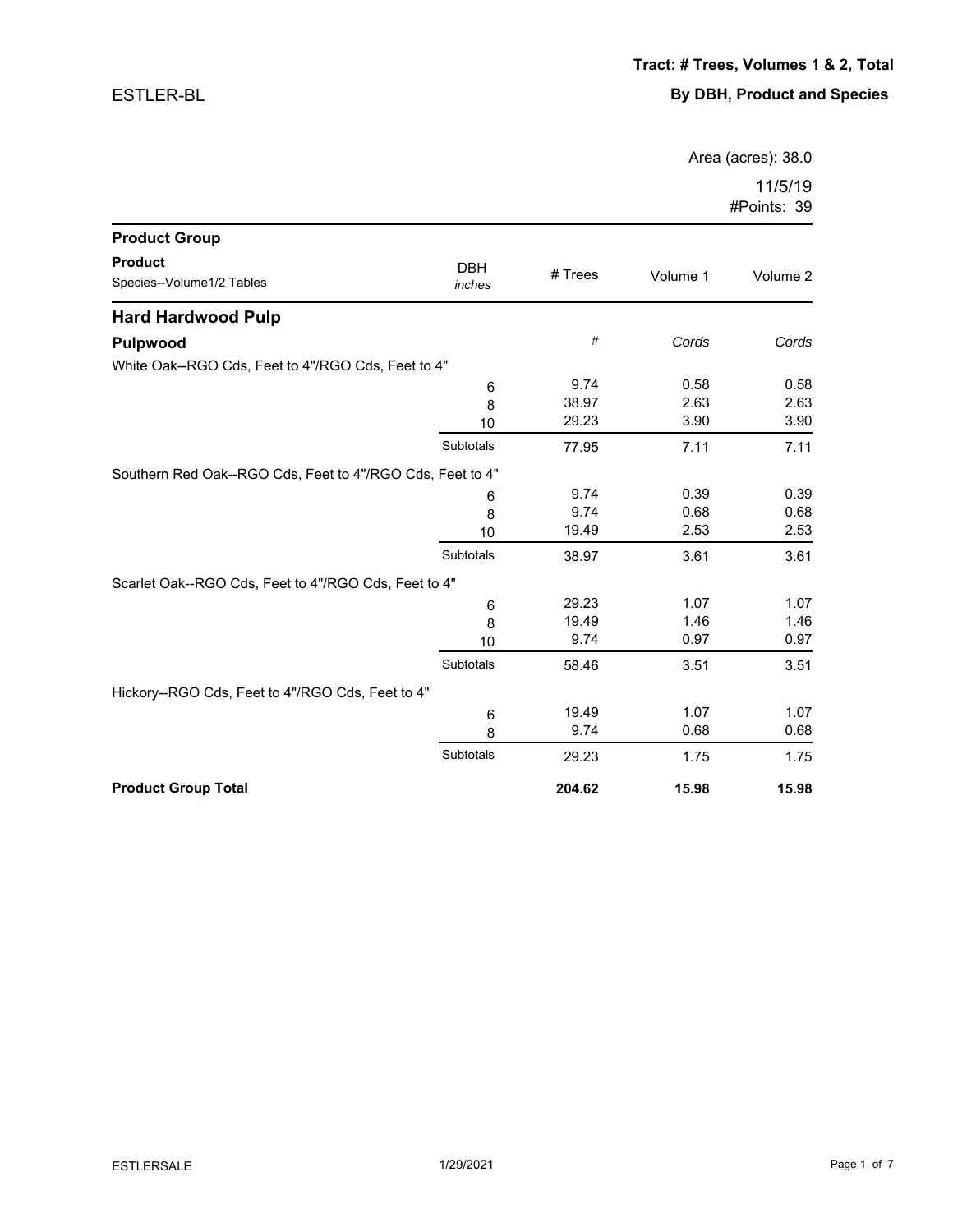Area (acres): 38.0

| <b>Product Group</b>                                      |                      |         |          |          |
|-----------------------------------------------------------|----------------------|---------|----------|----------|
| <b>Product</b><br>Species--Volume1/2 Tables               | <b>DBH</b><br>inches | # Trees | Volume 1 | Volume 2 |
| <b>Hard Hardwood Pulp</b>                                 |                      |         |          |          |
| Pulpwood                                                  |                      | $\#$    | Cords    | Cords    |
| White Oak--RGO Cds, Feet to 4"/RGO Cds, Feet to 4"        |                      |         |          |          |
|                                                           | 6                    | 9.74    | 0.58     | 0.58     |
|                                                           | 8                    | 38.97   | 2.63     | 2.63     |
|                                                           | 10                   | 29.23   | 3.90     | 3.90     |
|                                                           | Subtotals            | 77.95   | 7.11     | 7.11     |
| Southern Red Oak--RGO Cds, Feet to 4"/RGO Cds, Feet to 4" |                      |         |          |          |
|                                                           | 6                    | 9.74    | 0.39     | 0.39     |
|                                                           | 8                    | 9.74    | 0.68     | 0.68     |
|                                                           | 10                   | 19.49   | 2.53     | 2.53     |
|                                                           | Subtotals            | 38.97   | 3.61     | 3.61     |
| Scarlet Oak--RGO Cds, Feet to 4"/RGO Cds, Feet to 4"      |                      |         |          |          |
|                                                           | 6                    | 29.23   | 1.07     | 1.07     |
|                                                           | 8                    | 19.49   | 1.46     | 1.46     |
|                                                           | 10                   | 9.74    | 0.97     | 0.97     |
|                                                           | Subtotals            | 58.46   | 3.51     | 3.51     |
| Hickory--RGO Cds, Feet to 4"/RGO Cds, Feet to 4"          |                      |         |          |          |
|                                                           | 6                    | 19.49   | 1.07     | 1.07     |
|                                                           | 8                    | 9.74    | 0.68     | 0.68     |
|                                                           | Subtotals            | 29.23   | 1.75     | 1.75     |
| <b>Product Group Total</b>                                |                      | 204.62  | 15.98    | 15.98    |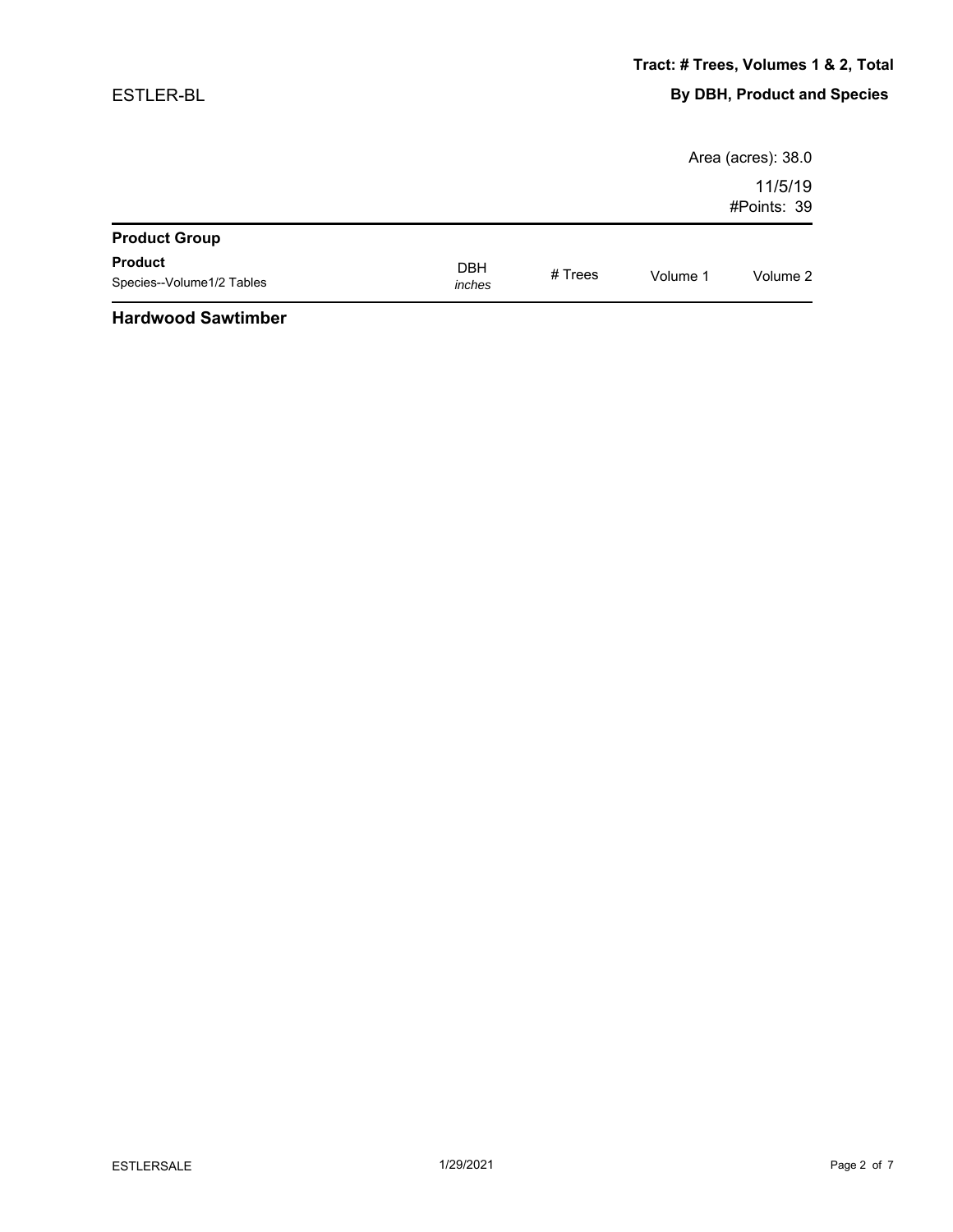|                                                                       |                      |         |          | Area (acres): 38.0     |
|-----------------------------------------------------------------------|----------------------|---------|----------|------------------------|
|                                                                       |                      |         |          | 11/5/19<br>#Points: 39 |
| <b>Product Group</b>                                                  |                      |         |          |                        |
| <b>Product</b><br>Species--Volume1/2 Tables                           | <b>DBH</b><br>inches | # Trees | Volume 1 | Volume 2               |
| $\mathbf{r}$ , and $\mathbf{r}$ , and $\mathbf{r}$ , and $\mathbf{r}$ |                      |         |          |                        |

#### **Hardwood Sawtimber**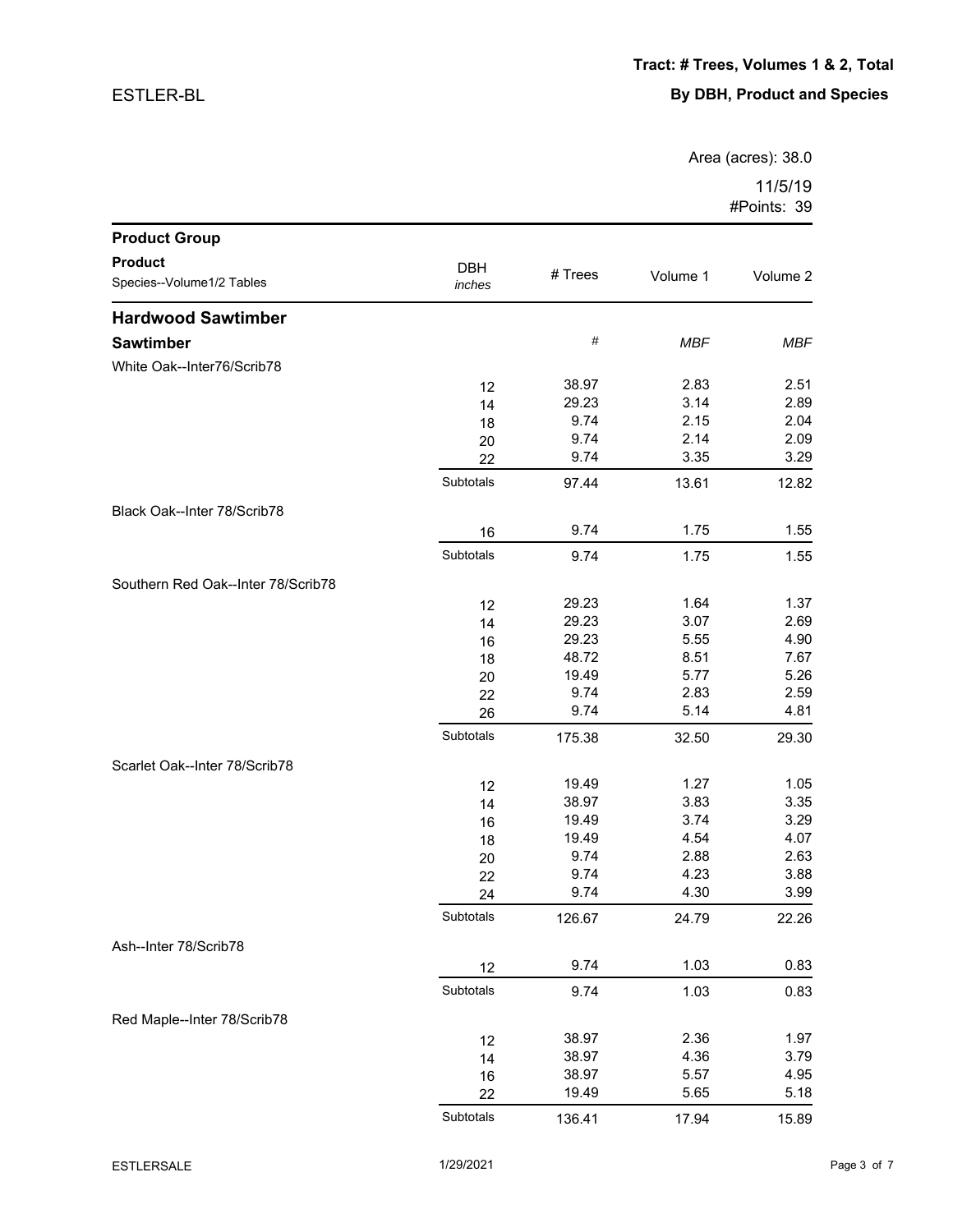Area (acres): 38.0

| <b>Product Group</b>               |                 |                |              |              |
|------------------------------------|-----------------|----------------|--------------|--------------|
| <b>Product</b>                     | <b>DBH</b>      |                |              |              |
| Species--Volume1/2 Tables          | inches          | # Trees        | Volume 1     | Volume 2     |
| <b>Hardwood Sawtimber</b>          |                 |                |              |              |
| <b>Sawtimber</b>                   |                 | $\#$           | <b>MBF</b>   | <b>MBF</b>   |
| White Oak--Inter76/Scrib78         |                 |                |              |              |
|                                    | 12              | 38.97          | 2.83         | 2.51         |
|                                    | 14              | 29.23          | 3.14         | 2.89         |
|                                    | 18              | 9.74           | 2.15         | 2.04         |
|                                    | 20              | 9.74           | 2.14         | 2.09         |
|                                    | 22              | 9.74           | 3.35         | 3.29         |
|                                    | Subtotals       | 97.44          | 13.61        | 12.82        |
| Black Oak--Inter 78/Scrib78        |                 |                |              |              |
|                                    | 16              | 9.74           | 1.75         | 1.55         |
|                                    | Subtotals       | 9.74           | 1.75         | 1.55         |
| Southern Red Oak--Inter 78/Scrib78 |                 |                |              |              |
|                                    | 12              | 29.23          | 1.64         | 1.37         |
|                                    | 14              | 29.23          | 3.07         | 2.69         |
|                                    | 16              | 29.23          | 5.55         | 4.90         |
|                                    | 18              | 48.72          | 8.51         | 7.67         |
|                                    | 20              | 19.49          | 5.77         | 5.26         |
|                                    | 22              | 9.74<br>9.74   | 2.83<br>5.14 | 2.59<br>4.81 |
|                                    | 26<br>Subtotals |                |              |              |
|                                    |                 | 175.38         | 32.50        | 29.30        |
| Scarlet Oak--Inter 78/Scrib78      |                 |                |              |              |
|                                    | 12              | 19.49          | 1.27         | 1.05         |
|                                    | 14              | 38.97          | 3.83         | 3.35         |
|                                    | 16              | 19.49<br>19.49 | 3.74<br>4.54 | 3.29<br>4.07 |
|                                    | 18              | 9.74           | 2.88         | 2.63         |
|                                    | 20<br>22        | 9.74           | 4.23         | 3.88         |
|                                    | 24              | 9.74           | 4.30         | 3.99         |
|                                    | Subtotals       | 126.67         | 24.79        | 22.26        |
| Ash--Inter 78/Scrib78              |                 |                |              |              |
|                                    | 12              | 9.74           | 1.03         | 0.83         |
|                                    | Subtotals       | 9.74           | 1.03         | 0.83         |
| Red Maple--Inter 78/Scrib78        |                 |                |              |              |
|                                    | 12              | 38.97          | 2.36         | 1.97         |
|                                    | 14              | 38.97          | 4.36         | 3.79         |
|                                    | 16              | 38.97          | 5.57         | 4.95         |
|                                    | 22              | 19.49          | 5.65         | 5.18         |
|                                    | Subtotals       | 136.41         | 17.94        | 15.89        |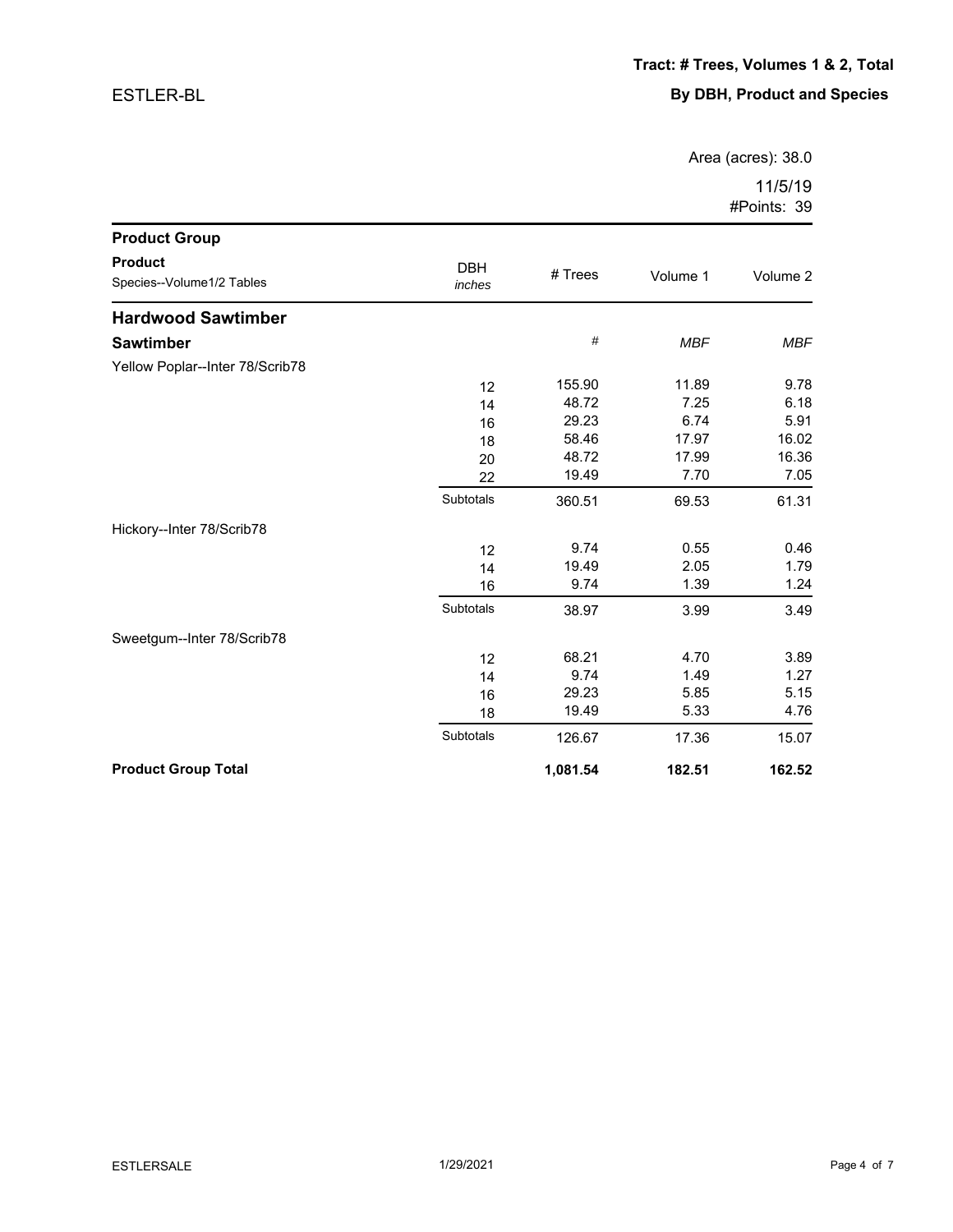Area (acres): 38.0

| <b>Product Group</b>                        |                      |          |            |            |
|---------------------------------------------|----------------------|----------|------------|------------|
| <b>Product</b><br>Species--Volume1/2 Tables | <b>DBH</b><br>inches | # Trees  | Volume 1   | Volume 2   |
| <b>Hardwood Sawtimber</b>                   |                      |          |            |            |
| <b>Sawtimber</b>                            |                      | $\#$     | <b>MBF</b> | <b>MBF</b> |
| Yellow Poplar--Inter 78/Scrib78             |                      |          |            |            |
|                                             | 12                   | 155.90   | 11.89      | 9.78       |
|                                             | 14                   | 48.72    | 7.25       | 6.18       |
|                                             | 16                   | 29.23    | 6.74       | 5.91       |
|                                             | 18                   | 58.46    | 17.97      | 16.02      |
|                                             | 20                   | 48.72    | 17.99      | 16.36      |
|                                             | 22                   | 19.49    | 7.70       | 7.05       |
|                                             | Subtotals            | 360.51   | 69.53      | 61.31      |
| Hickory--Inter 78/Scrib78                   |                      |          |            |            |
|                                             | 12                   | 9.74     | 0.55       | 0.46       |
|                                             | 14                   | 19.49    | 2.05       | 1.79       |
|                                             | 16                   | 9.74     | 1.39       | 1.24       |
|                                             | Subtotals            | 38.97    | 3.99       | 3.49       |
| Sweetgum--Inter 78/Scrib78                  |                      |          |            |            |
|                                             | 12                   | 68.21    | 4.70       | 3.89       |
|                                             | 14                   | 9.74     | 1.49       | 1.27       |
|                                             | 16                   | 29.23    | 5.85       | 5.15       |
|                                             | 18                   | 19.49    | 5.33       | 4.76       |
|                                             | Subtotals            | 126.67   | 17.36      | 15.07      |
| <b>Product Group Total</b>                  |                      | 1,081.54 | 182.51     | 162.52     |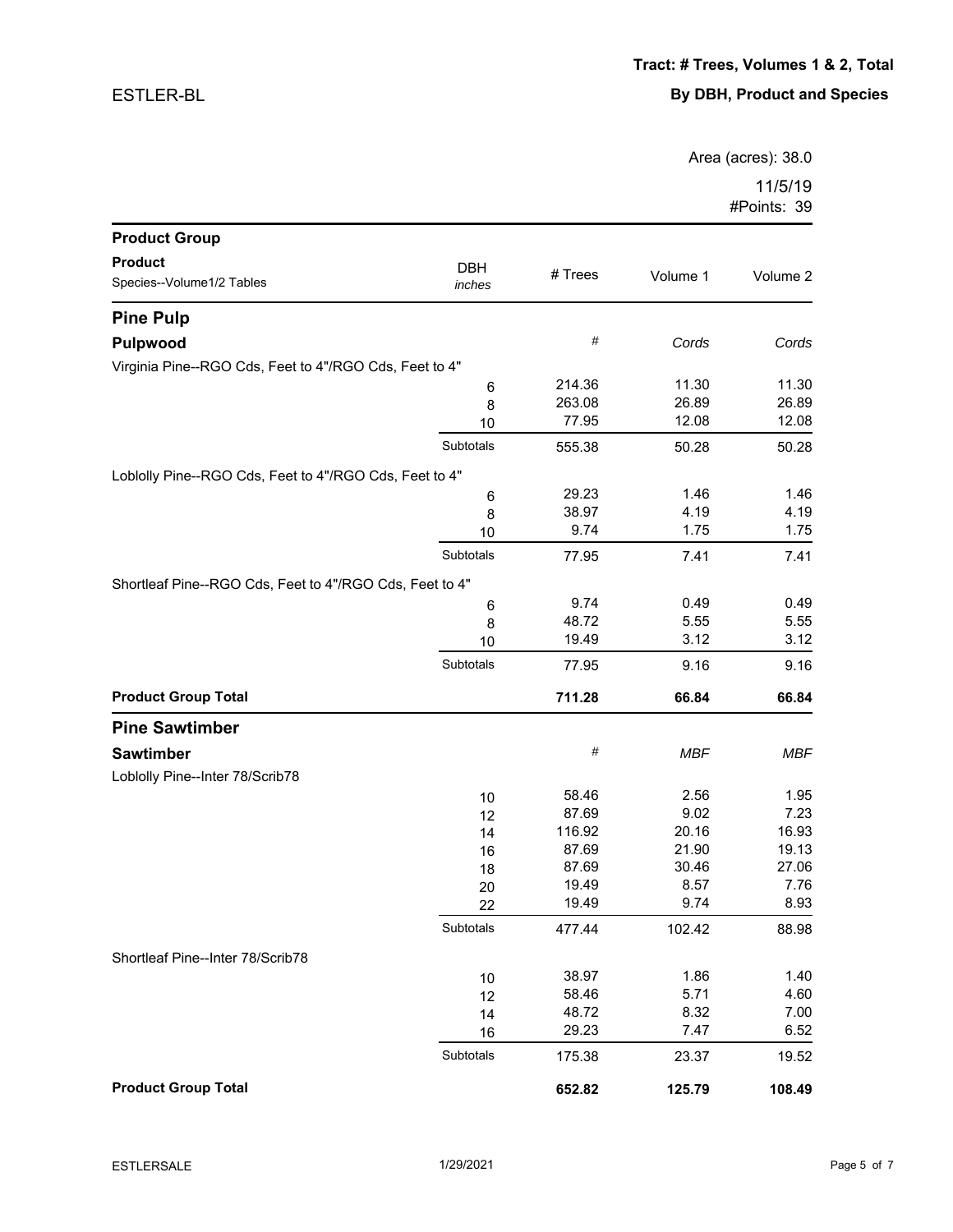Area (acres): 38.0

| <b>Product Group</b>                                    |            |         |            |            |
|---------------------------------------------------------|------------|---------|------------|------------|
| <b>Product</b>                                          | <b>DBH</b> |         |            |            |
| Species--Volume1/2 Tables                               | inches     | # Trees | Volume 1   | Volume 2   |
| <b>Pine Pulp</b>                                        |            |         |            |            |
| Pulpwood                                                |            | $\#$    | Cords      | Cords      |
| Virginia Pine--RGO Cds, Feet to 4"/RGO Cds, Feet to 4"  |            |         |            |            |
|                                                         | 6          | 214.36  | 11.30      | 11.30      |
|                                                         | 8          | 263.08  | 26.89      | 26.89      |
|                                                         | 10         | 77.95   | 12.08      | 12.08      |
|                                                         | Subtotals  | 555.38  | 50.28      | 50.28      |
| Loblolly Pine--RGO Cds, Feet to 4"/RGO Cds, Feet to 4"  |            |         |            |            |
|                                                         | 6          | 29.23   | 1.46       | 1.46       |
|                                                         | 8          | 38.97   | 4.19       | 4.19       |
|                                                         | 10         | 9.74    | 1.75       | 1.75       |
|                                                         | Subtotals  | 77.95   | 7.41       | 7.41       |
| Shortleaf Pine--RGO Cds, Feet to 4"/RGO Cds, Feet to 4" |            |         |            |            |
|                                                         | 6          | 9.74    | 0.49       | 0.49       |
|                                                         | 8          | 48.72   | 5.55       | 5.55       |
|                                                         | 10         | 19.49   | 3.12       | 3.12       |
|                                                         | Subtotals  | 77.95   | 9.16       | 9.16       |
| <b>Product Group Total</b>                              |            | 711.28  | 66.84      | 66.84      |
| <b>Pine Sawtimber</b>                                   |            |         |            |            |
| <b>Sawtimber</b>                                        |            | $\#$    | <b>MBF</b> | <b>MBF</b> |
| Loblolly Pine--Inter 78/Scrib78                         |            |         |            |            |
|                                                         | 10         | 58.46   | 2.56       | 1.95       |
|                                                         | 12         | 87.69   | 9.02       | 7.23       |
|                                                         | 14         | 116.92  | 20.16      | 16.93      |
|                                                         | 16         | 87.69   | 21.90      | 19.13      |
|                                                         | 18         | 87.69   | 30.46      | 27.06      |
|                                                         | 20         | 19.49   | 8.57       | 7.76       |
|                                                         | 22         | 19.49   | 9.74       | 8.93       |
|                                                         | Subtotals  | 477.44  | 102.42     | 88.98      |
| Shortleaf Pine--Inter 78/Scrib78                        |            |         |            |            |
|                                                         | $10$       | 38.97   | 1.86       | 1.40       |
|                                                         | 12         | 58.46   | 5.71       | 4.60       |
|                                                         | 14         | 48.72   | 8.32       | 7.00       |
|                                                         | 16         | 29.23   | 7.47       | 6.52       |
|                                                         | Subtotals  | 175.38  | 23.37      | 19.52      |
| <b>Product Group Total</b>                              |            | 652.82  | 125.79     | 108.49     |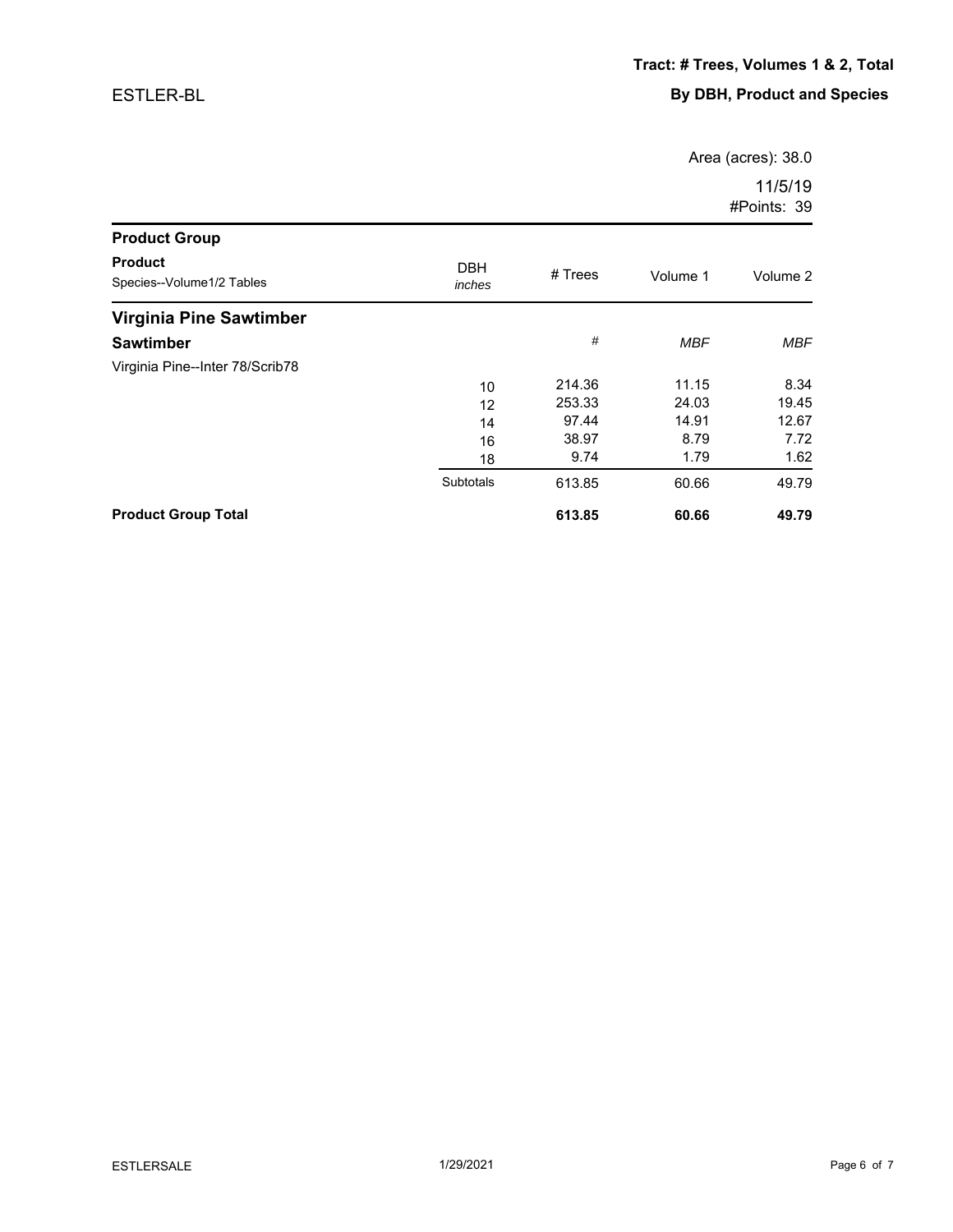Area (acres): 38.0

| <b>Product Group</b>                        |                      |         |            |          |
|---------------------------------------------|----------------------|---------|------------|----------|
| <b>Product</b><br>Species--Volume1/2 Tables | <b>DBH</b><br>inches | # Trees | Volume 1   | Volume 2 |
| Virginia Pine Sawtimber                     |                      |         |            |          |
| <b>Sawtimber</b>                            |                      | #       | <b>MBF</b> | MBF      |
| Virginia Pine--Inter 78/Scrib78             |                      |         |            |          |
|                                             | 10                   | 214.36  | 11.15      | 8.34     |
|                                             | 12                   | 253.33  | 24.03      | 19.45    |
|                                             | 14                   | 97.44   | 14.91      | 12.67    |
|                                             | 16                   | 38.97   | 8.79       | 7.72     |
|                                             | 18                   | 9.74    | 1.79       | 1.62     |
|                                             | <b>Subtotals</b>     | 613.85  | 60.66      | 49.79    |
| <b>Product Group Total</b>                  |                      | 613.85  | 60.66      | 49.79    |